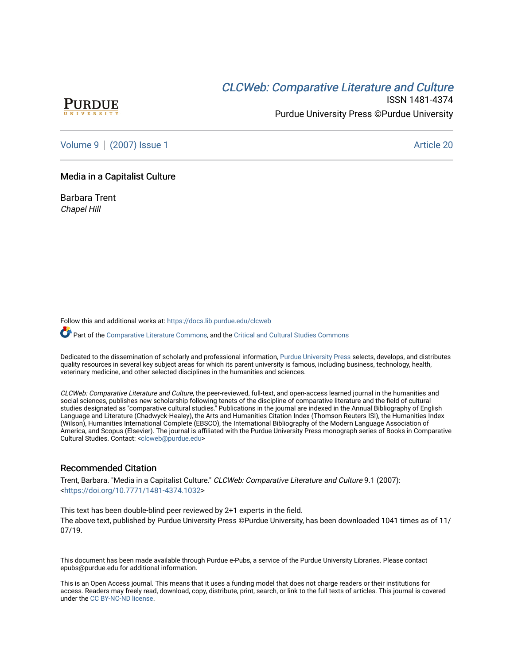## CLCW[eb: Comparative Liter](https://docs.lib.purdue.edu/clcweb)ature and Culture



ISSN 1481-4374 Purdue University Press ©Purdue University

[Volume 9](https://docs.lib.purdue.edu/clcweb/vol9) | [\(2007\) Issue 1](https://docs.lib.purdue.edu/clcweb/vol9/iss1) Article 20

#### Media in a Capitalist Culture

Barbara Trent Chapel Hill

Follow this and additional works at: [https://docs.lib.purdue.edu/clcweb](https://docs.lib.purdue.edu/clcweb?utm_source=docs.lib.purdue.edu%2Fclcweb%2Fvol9%2Fiss1%2F20&utm_medium=PDF&utm_campaign=PDFCoverPages)

Part of the [Comparative Literature Commons,](http://network.bepress.com/hgg/discipline/454?utm_source=docs.lib.purdue.edu%2Fclcweb%2Fvol9%2Fiss1%2F20&utm_medium=PDF&utm_campaign=PDFCoverPages) and the Critical and Cultural Studies Commons

Dedicated to the dissemination of scholarly and professional information, [Purdue University Press](http://www.thepress.purdue.edu/) selects, develops, and distributes quality resources in several key subject areas for which its parent university is famous, including business, technology, health, veterinary medicine, and other selected disciplines in the humanities and sciences.

CLCWeb: Comparative Literature and Culture, the peer-reviewed, full-text, and open-access learned journal in the humanities and social sciences, publishes new scholarship following tenets of the discipline of comparative literature and the field of cultural studies designated as "comparative cultural studies." Publications in the journal are indexed in the Annual Bibliography of English Language and Literature (Chadwyck-Healey), the Arts and Humanities Citation Index (Thomson Reuters ISI), the Humanities Index (Wilson), Humanities International Complete (EBSCO), the International Bibliography of the Modern Language Association of America, and Scopus (Elsevier). The journal is affiliated with the Purdue University Press monograph series of Books in Comparative Cultural Studies. Contact: [<clcweb@purdue.edu](mailto:clcweb@purdue.edu)>

## Recommended Citation

Trent, Barbara. "Media in a Capitalist Culture." CLCWeb: Comparative Literature and Culture 9.1 (2007): <<https://doi.org/10.7771/1481-4374.1032>>

This text has been double-blind peer reviewed by 2+1 experts in the field. The above text, published by Purdue University Press ©Purdue University, has been downloaded 1041 times as of 11/ 07/19.

This document has been made available through Purdue e-Pubs, a service of the Purdue University Libraries. Please contact epubs@purdue.edu for additional information.

This is an Open Access journal. This means that it uses a funding model that does not charge readers or their institutions for access. Readers may freely read, download, copy, distribute, print, search, or link to the full texts of articles. This journal is covered under the [CC BY-NC-ND license.](https://creativecommons.org/licenses/by-nc-nd/4.0/)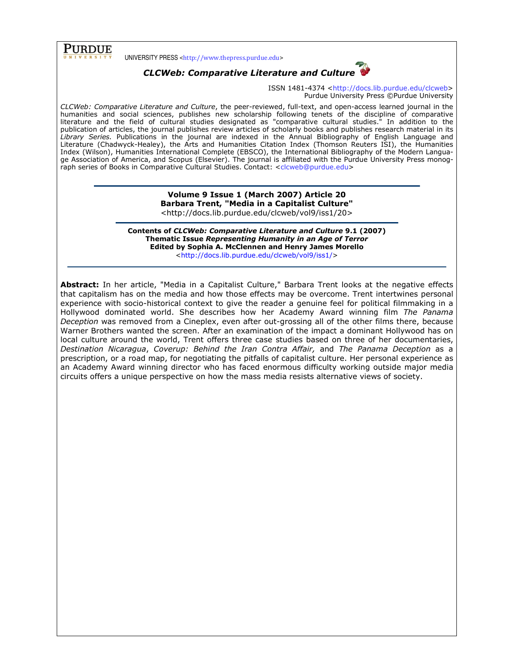# **PURDUE**

UNIVERSITY PRESS <http://www.thepress.purdue.edu>

## CLCWeb: Comparative Literature and Culture

ISSN 1481-4374 <http://docs.lib.purdue.edu/clcweb> Purdue University Press ©Purdue University

CLCWeb: Comparative Literature and Culture, the peer-reviewed, full-text, and open-access learned journal in the humanities and social sciences, publishes new scholarship following tenets of the discipline of comparative literature and the field of cultural studies designated as "comparative cultural studies." In addition to the publication of articles, the journal publishes review articles of scholarly books and publishes research material in its Library Series. Publications in the journal are indexed in the Annual Bibliography of English Language and Literature (Chadwyck-Healey), the Arts and Humanities Citation Index (Thomson Reuters ISI), the Humanities Index (Wilson), Humanities International Complete (EBSCO), the International Bibliography of the Modern Language Association of America, and Scopus (Elsevier). The journal is affiliated with the Purdue University Press monograph series of Books in Comparative Cultural Studies. Contact: <clcweb@purdue.edu>

#### Volume 9 Issue 1 (March 2007) Article 20 Barbara Trent, "Media in a Capitalist Culture" <http://docs.lib.purdue.edu/clcweb/vol9/iss1/20>

Contents of CLCWeb: Comparative Literature and Culture 9.1 (2007) Thematic Issue Representing Humanity in an Age of Terror Edited by Sophia A. McClennen and Henry James Morello <http://docs.lib.purdue.edu/clcweb/vol9/iss1/>

Abstract: In her article, "Media in a Capitalist Culture," Barbara Trent looks at the negative effects that capitalism has on the media and how those effects may be overcome. Trent intertwines personal experience with socio-historical context to give the reader a genuine feel for political filmmaking in a Hollywood dominated world. She describes how her Academy Award winning film The Panama Deception was removed from a Cineplex, even after out-grossing all of the other films there, because Warner Brothers wanted the screen. After an examination of the impact a dominant Hollywood has on local culture around the world, Trent offers three case studies based on three of her documentaries, Destination Nicaragua, Coverup: Behind the Iran Contra Affair, and The Panama Deception as a prescription, or a road map, for negotiating the pitfalls of capitalist culture. Her personal experience as an Academy Award winning director who has faced enormous difficulty working outside major media circuits offers a unique perspective on how the mass media resists alternative views of society.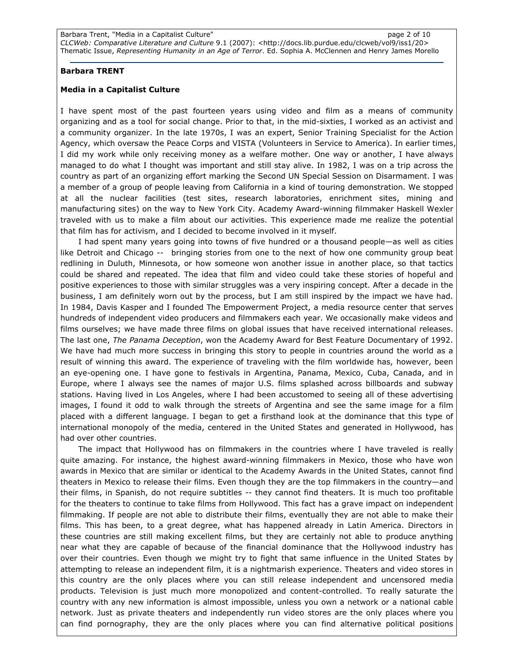#### Barbara TRENT

## Media in a Capitalist Culture

I have spent most of the past fourteen years using video and film as a means of community organizing and as a tool for social change. Prior to that, in the mid-sixties, I worked as an activist and a community organizer. In the late 1970s, I was an expert, Senior Training Specialist for the Action Agency, which oversaw the Peace Corps and VISTA (Volunteers in Service to America). In earlier times, I did my work while only receiving money as a welfare mother. One way or another, I have always managed to do what I thought was important and still stay alive. In 1982, I was on a trip across the country as part of an organizing effort marking the Second UN Special Session on Disarmament. I was a member of a group of people leaving from California in a kind of touring demonstration. We stopped at all the nuclear facilities (test sites, research laboratories, enrichment sites, mining and manufacturing sites) on the way to New York City. Academy Award-winning filmmaker Haskell Wexler traveled with us to make a film about our activities. This experience made me realize the potential that film has for activism, and I decided to become involved in it myself.

 I had spent many years going into towns of five hundred or a thousand people—as well as cities like Detroit and Chicago -- bringing stories from one to the next of how one community group beat redlining in Duluth, Minnesota, or how someone won another issue in another place, so that tactics could be shared and repeated. The idea that film and video could take these stories of hopeful and positive experiences to those with similar struggles was a very inspiring concept. After a decade in the business, I am definitely worn out by the process, but I am still inspired by the impact we have had. In 1984, Davis Kasper and I founded The Empowerment Project, a media resource center that serves hundreds of independent video producers and filmmakers each year. We occasionally make videos and films ourselves; we have made three films on global issues that have received international releases. The last one, The Panama Deception, won the Academy Award for Best Feature Documentary of 1992. We have had much more success in bringing this story to people in countries around the world as a result of winning this award. The experience of traveling with the film worldwide has, however, been an eye-opening one. I have gone to festivals in Argentina, Panama, Mexico, Cuba, Canada, and in Europe, where I always see the names of major U.S. films splashed across billboards and subway stations. Having lived in Los Angeles, where I had been accustomed to seeing all of these advertising images, I found it odd to walk through the streets of Argentina and see the same image for a film placed with a different language. I began to get a firsthand look at the dominance that this type of international monopoly of the media, centered in the United States and generated in Hollywood, has had over other countries.

 The impact that Hollywood has on filmmakers in the countries where I have traveled is really quite amazing. For instance, the highest award-winning filmmakers in Mexico, those who have won awards in Mexico that are similar or identical to the Academy Awards in the United States, cannot find theaters in Mexico to release their films. Even though they are the top filmmakers in the country—and their films, in Spanish, do not require subtitles -- they cannot find theaters. It is much too profitable for the theaters to continue to take films from Hollywood. This fact has a grave impact on independent filmmaking. If people are not able to distribute their films, eventually they are not able to make their films. This has been, to a great degree, what has happened already in Latin America. Directors in these countries are still making excellent films, but they are certainly not able to produce anything near what they are capable of because of the financial dominance that the Hollywood industry has over their countries. Even though we might try to fight that same influence in the United States by attempting to release an independent film, it is a nightmarish experience. Theaters and video stores in this country are the only places where you can still release independent and uncensored media products. Television is just much more monopolized and content-controlled. To really saturate the country with any new information is almost impossible, unless you own a network or a national cable network. Just as private theaters and independently run video stores are the only places where you can find pornography, they are the only places where you can find alternative political positions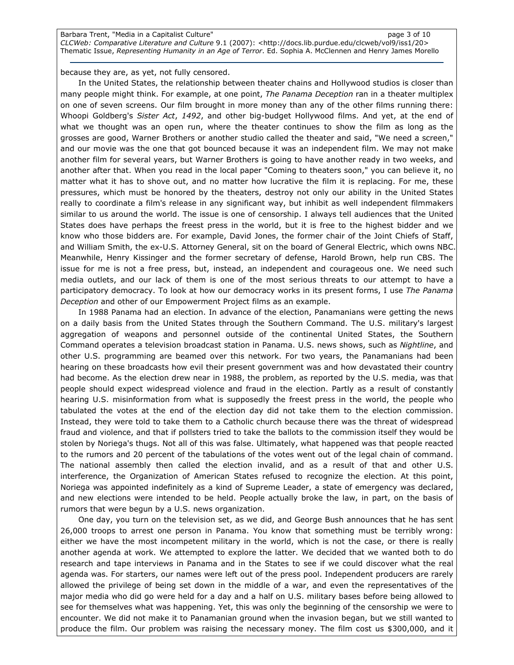because they are, as yet, not fully censored.

 In the United States, the relationship between theater chains and Hollywood studios is closer than many people might think. For example, at one point, The Panama Deception ran in a theater multiplex on one of seven screens. Our film brought in more money than any of the other films running there: Whoopi Goldberg's Sister Act, 1492, and other big-budget Hollywood films. And yet, at the end of what we thought was an open run, where the theater continues to show the film as long as the grosses are good, Warner Brothers or another studio called the theater and said, "We need a screen," and our movie was the one that got bounced because it was an independent film. We may not make another film for several years, but Warner Brothers is going to have another ready in two weeks, and another after that. When you read in the local paper "Coming to theaters soon," you can believe it, no matter what it has to shove out, and no matter how lucrative the film it is replacing. For me, these pressures, which must be honored by the theaters, destroy not only our ability in the United States really to coordinate a film's release in any significant way, but inhibit as well independent filmmakers similar to us around the world. The issue is one of censorship. I always tell audiences that the United States does have perhaps the freest press in the world, but it is free to the highest bidder and we know who those bidders are. For example, David Jones, the former chair of the Joint Chiefs of Staff, and William Smith, the ex-U.S. Attorney General, sit on the board of General Electric, which owns NBC. Meanwhile, Henry Kissinger and the former secretary of defense, Harold Brown, help run CBS. The issue for me is not a free press, but, instead, an independent and courageous one. We need such media outlets, and our lack of them is one of the most serious threats to our attempt to have a participatory democracy. To look at how our democracy works in its present forms, I use The Panama Deception and other of our Empowerment Project films as an example.

 In 1988 Panama had an election. In advance of the election, Panamanians were getting the news on a daily basis from the United States through the Southern Command. The U.S. military's largest aggregation of weapons and personnel outside of the continental United States, the Southern Command operates a television broadcast station in Panama. U.S. news shows, such as Nightline, and other U.S. programming are beamed over this network. For two years, the Panamanians had been hearing on these broadcasts how evil their present government was and how devastated their country had become. As the election drew near in 1988, the problem, as reported by the U.S. media, was that people should expect widespread violence and fraud in the election. Partly as a result of constantly hearing U.S. misinformation from what is supposedly the freest press in the world, the people who tabulated the votes at the end of the election day did not take them to the election commission. Instead, they were told to take them to a Catholic church because there was the threat of widespread fraud and violence, and that if pollsters tried to take the ballots to the commission itself they would be stolen by Noriega's thugs. Not all of this was false. Ultimately, what happened was that people reacted to the rumors and 20 percent of the tabulations of the votes went out of the legal chain of command. The national assembly then called the election invalid, and as a result of that and other U.S. interference, the Organization of American States refused to recognize the election. At this point, Noriega was appointed indefinitely as a kind of Supreme Leader, a state of emergency was declared, and new elections were intended to be held. People actually broke the law, in part, on the basis of rumors that were begun by a U.S. news organization.

 One day, you turn on the television set, as we did, and George Bush announces that he has sent 26,000 troops to arrest one person in Panama. You know that something must be terribly wrong: either we have the most incompetent military in the world, which is not the case, or there is really another agenda at work. We attempted to explore the latter. We decided that we wanted both to do research and tape interviews in Panama and in the States to see if we could discover what the real agenda was. For starters, our names were left out of the press pool. Independent producers are rarely allowed the privilege of being set down in the middle of a war, and even the representatives of the major media who did go were held for a day and a half on U.S. military bases before being allowed to see for themselves what was happening. Yet, this was only the beginning of the censorship we were to encounter. We did not make it to Panamanian ground when the invasion began, but we still wanted to produce the film. Our problem was raising the necessary money. The film cost us \$300,000, and it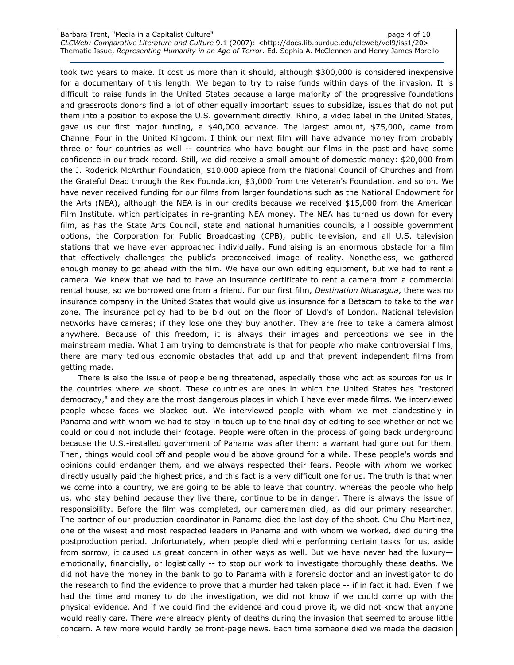#### Barbara Trent, "Media in a Capitalist Culture" and page 4 of 10 CLCWeb: Comparative Literature and Culture 9.1 (2007): <http://docs.lib.purdue.edu/clcweb/vol9/iss1/20> Thematic Issue, Representing Humanity in an Age of Terror. Ed. Sophia A. McClennen and Henry James Morello

took two years to make. It cost us more than it should, although \$300,000 is considered inexpensive for a documentary of this length. We began to try to raise funds within days of the invasion. It is difficult to raise funds in the United States because a large majority of the progressive foundations and grassroots donors find a lot of other equally important issues to subsidize, issues that do not put them into a position to expose the U.S. government directly. Rhino, a video label in the United States, gave us our first major funding, a \$40,000 advance. The largest amount, \$75,000, came from Channel Four in the United Kingdom. I think our next film will have advance money from probably three or four countries as well -- countries who have bought our films in the past and have some confidence in our track record. Still, we did receive a small amount of domestic money: \$20,000 from the J. Roderick McArthur Foundation, \$10,000 apiece from the National Council of Churches and from the Grateful Dead through the Rex Foundation, \$3,000 from the Veteran's Foundation, and so on. We have never received funding for our films from larger foundations such as the National Endowment for the Arts (NEA), although the NEA is in our credits because we received \$15,000 from the American Film Institute, which participates in re-granting NEA money. The NEA has turned us down for every film, as has the State Arts Council, state and national humanities councils, all possible government options, the Corporation for Public Broadcasting (CPB), public television, and all U.S. television stations that we have ever approached individually. Fundraising is an enormous obstacle for a film that effectively challenges the public's preconceived image of reality. Nonetheless, we gathered enough money to go ahead with the film. We have our own editing equipment, but we had to rent a camera. We knew that we had to have an insurance certificate to rent a camera from a commercial rental house, so we borrowed one from a friend. For our first film, Destination Nicaragua, there was no insurance company in the United States that would give us insurance for a Betacam to take to the war zone. The insurance policy had to be bid out on the floor of Lloyd's of London. National television networks have cameras; if they lose one they buy another. They are free to take a camera almost anywhere. Because of this freedom, it is always their images and perceptions we see in the mainstream media. What I am trying to demonstrate is that for people who make controversial films, there are many tedious economic obstacles that add up and that prevent independent films from getting made.

 There is also the issue of people being threatened, especially those who act as sources for us in the countries where we shoot. These countries are ones in which the United States has "restored democracy," and they are the most dangerous places in which I have ever made films. We interviewed people whose faces we blacked out. We interviewed people with whom we met clandestinely in Panama and with whom we had to stay in touch up to the final day of editing to see whether or not we could or could not include their footage. People were often in the process of going back underground because the U.S.-installed government of Panama was after them: a warrant had gone out for them. Then, things would cool off and people would be above ground for a while. These people's words and opinions could endanger them, and we always respected their fears. People with whom we worked directly usually paid the highest price, and this fact is a very difficult one for us. The truth is that when we come into a country, we are going to be able to leave that country, whereas the people who help us, who stay behind because they live there, continue to be in danger. There is always the issue of responsibility. Before the film was completed, our cameraman died, as did our primary researcher. The partner of our production coordinator in Panama died the last day of the shoot. Chu Chu Martinez, one of the wisest and most respected leaders in Panama and with whom we worked, died during the postproduction period. Unfortunately, when people died while performing certain tasks for us, aside from sorrow, it caused us great concern in other ways as well. But we have never had the luxury emotionally, financially, or logistically -- to stop our work to investigate thoroughly these deaths. We did not have the money in the bank to go to Panama with a forensic doctor and an investigator to do the research to find the evidence to prove that a murder had taken place -- if in fact it had. Even if we had the time and money to do the investigation, we did not know if we could come up with the physical evidence. And if we could find the evidence and could prove it, we did not know that anyone would really care. There were already plenty of deaths during the invasion that seemed to arouse little concern. A few more would hardly be front-page news. Each time someone died we made the decision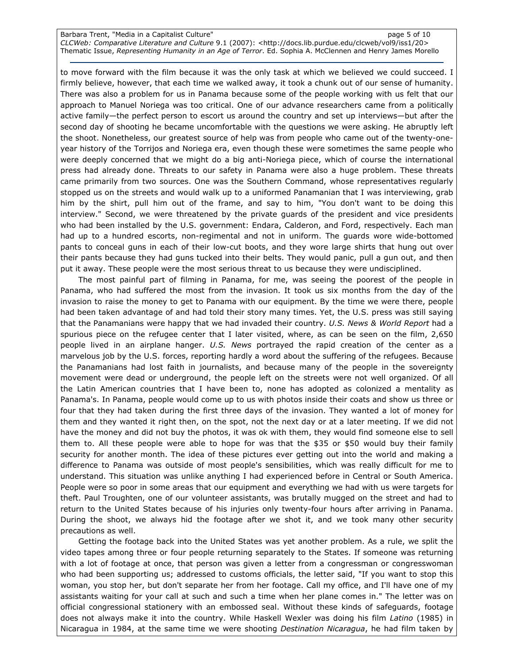#### Barbara Trent, "Media in a Capitalist Culture" and page 6 of 10 CLCWeb: Comparative Literature and Culture 9.1 (2007): <http://docs.lib.purdue.edu/clcweb/vol9/iss1/20> Thematic Issue, Representing Humanity in an Age of Terror. Ed. Sophia A. McClennen and Henry James Morello

to move forward with the film because it was the only task at which we believed we could succeed. I firmly believe, however, that each time we walked away, it took a chunk out of our sense of humanity. There was also a problem for us in Panama because some of the people working with us felt that our approach to Manuel Noriega was too critical. One of our advance researchers came from a politically active family—the perfect person to escort us around the country and set up interviews—but after the second day of shooting he became uncomfortable with the questions we were asking. He abruptly left the shoot. Nonetheless, our greatest source of help was from people who came out of the twenty-oneyear history of the Torrijos and Noriega era, even though these were sometimes the same people who were deeply concerned that we might do a big anti-Noriega piece, which of course the international press had already done. Threats to our safety in Panama were also a huge problem. These threats came primarily from two sources. One was the Southern Command, whose representatives regularly stopped us on the streets and would walk up to a uniformed Panamanian that I was interviewing, grab him by the shirt, pull him out of the frame, and say to him, "You don't want to be doing this interview." Second, we were threatened by the private guards of the president and vice presidents who had been installed by the U.S. government: Endara, Calderon, and Ford, respectively. Each man had up to a hundred escorts, non-regimental and not in uniform. The guards wore wide-bottomed pants to conceal guns in each of their low-cut boots, and they wore large shirts that hung out over their pants because they had guns tucked into their belts. They would panic, pull a gun out, and then put it away. These people were the most serious threat to us because they were undisciplined.

 The most painful part of filming in Panama, for me, was seeing the poorest of the people in Panama, who had suffered the most from the invasion. It took us six months from the day of the invasion to raise the money to get to Panama with our equipment. By the time we were there, people had been taken advantage of and had told their story many times. Yet, the U.S. press was still saying that the Panamanians were happy that we had invaded their country. U.S. News & World Report had a spurious piece on the refugee center that I later visited, where, as can be seen on the film, 2,650 people lived in an airplane hanger. U.S. News portrayed the rapid creation of the center as a marvelous job by the U.S. forces, reporting hardly a word about the suffering of the refugees. Because the Panamanians had lost faith in journalists, and because many of the people in the sovereignty movement were dead or underground, the people left on the streets were not well organized. Of all the Latin American countries that I have been to, none has adopted as colonized a mentality as Panama's. In Panama, people would come up to us with photos inside their coats and show us three or four that they had taken during the first three days of the invasion. They wanted a lot of money for them and they wanted it right then, on the spot, not the next day or at a later meeting. If we did not have the money and did not buy the photos, it was ok with them, they would find someone else to sell them to. All these people were able to hope for was that the \$35 or \$50 would buy their family security for another month. The idea of these pictures ever getting out into the world and making a difference to Panama was outside of most people's sensibilities, which was really difficult for me to understand. This situation was unlike anything I had experienced before in Central or South America. People were so poor in some areas that our equipment and everything we had with us were targets for theft. Paul Troughten, one of our volunteer assistants, was brutally mugged on the street and had to return to the United States because of his injuries only twenty-four hours after arriving in Panama. During the shoot, we always hid the footage after we shot it, and we took many other security precautions as well.

 Getting the footage back into the United States was yet another problem. As a rule, we split the video tapes among three or four people returning separately to the States. If someone was returning with a lot of footage at once, that person was given a letter from a congressman or congresswoman who had been supporting us; addressed to customs officials, the letter said, "If you want to stop this woman, you stop her, but don't separate her from her footage. Call my office, and I'll have one of my assistants waiting for your call at such and such a time when her plane comes in." The letter was on official congressional stationery with an embossed seal. Without these kinds of safeguards, footage does not always make it into the country. While Haskell Wexler was doing his film Latino (1985) in Nicaragua in 1984, at the same time we were shooting Destination Nicaragua, he had film taken by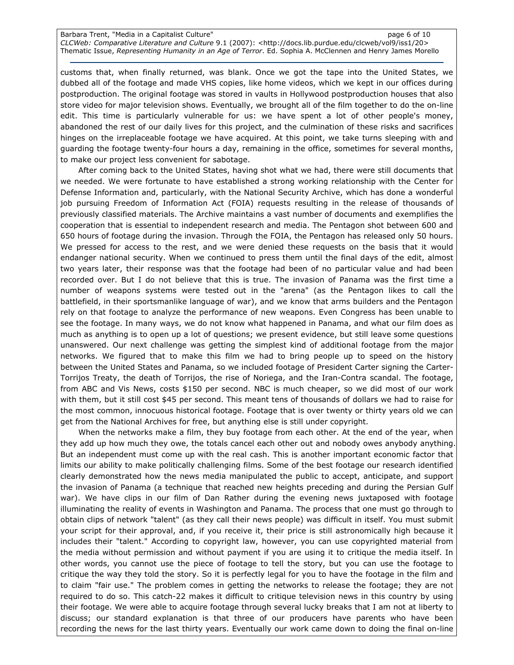customs that, when finally returned, was blank. Once we got the tape into the United States, we dubbed all of the footage and made VHS copies, like home videos, which we kept in our offices during postproduction. The original footage was stored in vaults in Hollywood postproduction houses that also store video for major television shows. Eventually, we brought all of the film together to do the on-line edit. This time is particularly vulnerable for us: we have spent a lot of other people's money, abandoned the rest of our daily lives for this project, and the culmination of these risks and sacrifices hinges on the irreplaceable footage we have acquired. At this point, we take turns sleeping with and guarding the footage twenty-four hours a day, remaining in the office, sometimes for several months, to make our project less convenient for sabotage.

 After coming back to the United States, having shot what we had, there were still documents that we needed. We were fortunate to have established a strong working relationship with the Center for Defense Information and, particularly, with the National Security Archive, which has done a wonderful job pursuing Freedom of Information Act (FOIA) requests resulting in the release of thousands of previously classified materials. The Archive maintains a vast number of documents and exemplifies the cooperation that is essential to independent research and media. The Pentagon shot between 600 and 650 hours of footage during the invasion. Through the FOIA, the Pentagon has released only 50 hours. We pressed for access to the rest, and we were denied these requests on the basis that it would endanger national security. When we continued to press them until the final days of the edit, almost two years later, their response was that the footage had been of no particular value and had been recorded over. But I do not believe that this is true. The invasion of Panama was the first time a number of weapons systems were tested out in the "arena" (as the Pentagon likes to call the battlefield, in their sportsmanlike language of war), and we know that arms builders and the Pentagon rely on that footage to analyze the performance of new weapons. Even Congress has been unable to see the footage. In many ways, we do not know what happened in Panama, and what our film does as much as anything is to open up a lot of questions; we present evidence, but still leave some questions unanswered. Our next challenge was getting the simplest kind of additional footage from the major networks. We figured that to make this film we had to bring people up to speed on the history between the United States and Panama, so we included footage of President Carter signing the Carter-Torrijos Treaty, the death of Torrijos, the rise of Noriega, and the Iran-Contra scandal. The footage, from ABC and Vis News, costs \$150 per second. NBC is much cheaper, so we did most of our work with them, but it still cost \$45 per second. This meant tens of thousands of dollars we had to raise for the most common, innocuous historical footage. Footage that is over twenty or thirty years old we can get from the National Archives for free, but anything else is still under copyright.

 When the networks make a film, they buy footage from each other. At the end of the year, when they add up how much they owe, the totals cancel each other out and nobody owes anybody anything. But an independent must come up with the real cash. This is another important economic factor that limits our ability to make politically challenging films. Some of the best footage our research identified clearly demonstrated how the news media manipulated the public to accept, anticipate, and support the invasion of Panama (a technique that reached new heights preceding and during the Persian Gulf war). We have clips in our film of Dan Rather during the evening news juxtaposed with footage illuminating the reality of events in Washington and Panama. The process that one must go through to obtain clips of network "talent" (as they call their news people) was difficult in itself. You must submit your script for their approval, and, if you receive it, their price is still astronomically high because it includes their "talent." According to copyright law, however, you can use copyrighted material from the media without permission and without payment if you are using it to critique the media itself. In other words, you cannot use the piece of footage to tell the story, but you can use the footage to critique the way they told the story. So it is perfectly legal for you to have the footage in the film and to claim "fair use." The problem comes in getting the networks to release the footage; they are not required to do so. This catch-22 makes it difficult to critique television news in this country by using their footage. We were able to acquire footage through several lucky breaks that I am not at liberty to discuss; our standard explanation is that three of our producers have parents who have been recording the news for the last thirty years. Eventually our work came down to doing the final on-line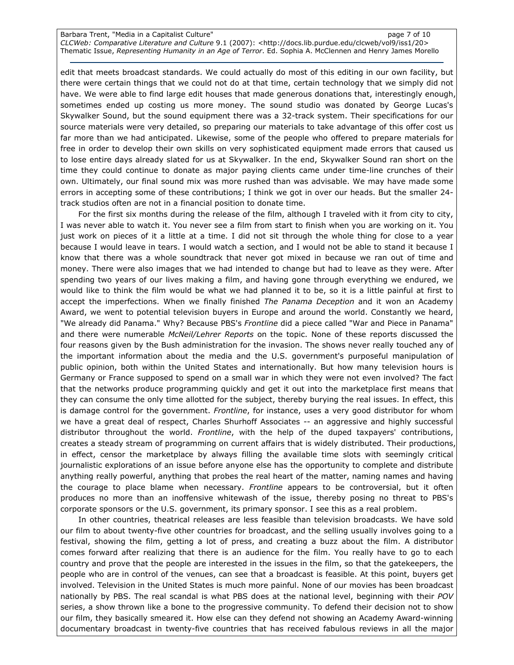#### Barbara Trent, "Media in a Capitalist Culture" and page 7 of 10 CLCWeb: Comparative Literature and Culture 9.1 (2007): <http://docs.lib.purdue.edu/clcweb/vol9/iss1/20> Thematic Issue, Representing Humanity in an Age of Terror. Ed. Sophia A. McClennen and Henry James Morello

edit that meets broadcast standards. We could actually do most of this editing in our own facility, but there were certain things that we could not do at that time, certain technology that we simply did not have. We were able to find large edit houses that made generous donations that, interestingly enough, sometimes ended up costing us more money. The sound studio was donated by George Lucas's Skywalker Sound, but the sound equipment there was a 32-track system. Their specifications for our source materials were very detailed, so preparing our materials to take advantage of this offer cost us far more than we had anticipated. Likewise, some of the people who offered to prepare materials for free in order to develop their own skills on very sophisticated equipment made errors that caused us to lose entire days already slated for us at Skywalker. In the end, Skywalker Sound ran short on the time they could continue to donate as major paying clients came under time-line crunches of their own. Ultimately, our final sound mix was more rushed than was advisable. We may have made some errors in accepting some of these contributions; I think we got in over our heads. But the smaller 24 track studios often are not in a financial position to donate time.

 For the first six months during the release of the film, although I traveled with it from city to city, I was never able to watch it. You never see a film from start to finish when you are working on it. You just work on pieces of it a little at a time. I did not sit through the whole thing for close to a year because I would leave in tears. I would watch a section, and I would not be able to stand it because I know that there was a whole soundtrack that never got mixed in because we ran out of time and money. There were also images that we had intended to change but had to leave as they were. After spending two years of our lives making a film, and having gone through everything we endured, we would like to think the film would be what we had planned it to be, so it is a little painful at first to accept the imperfections. When we finally finished The Panama Deception and it won an Academy Award, we went to potential television buyers in Europe and around the world. Constantly we heard, "We already did Panama." Why? Because PBS's Frontline did a piece called "War and Piece in Panama" and there were numerable McNeil/Lehrer Reports on the topic. None of these reports discussed the four reasons given by the Bush administration for the invasion. The shows never really touched any of the important information about the media and the U.S. government's purposeful manipulation of public opinion, both within the United States and internationally. But how many television hours is Germany or France supposed to spend on a small war in which they were not even involved? The fact that the networks produce programming quickly and get it out into the marketplace first means that they can consume the only time allotted for the subject, thereby burying the real issues. In effect, this is damage control for the government. Frontline, for instance, uses a very good distributor for whom we have a great deal of respect, Charles Shurhoff Associates -- an aggressive and highly successful distributor throughout the world. Frontline, with the help of the duped taxpayers' contributions, creates a steady stream of programming on current affairs that is widely distributed. Their productions, in effect, censor the marketplace by always filling the available time slots with seemingly critical journalistic explorations of an issue before anyone else has the opportunity to complete and distribute anything really powerful, anything that probes the real heart of the matter, naming names and having the courage to place blame when necessary. Frontline appears to be controversial, but it often produces no more than an inoffensive whitewash of the issue, thereby posing no threat to PBS's corporate sponsors or the U.S. government, its primary sponsor. I see this as a real problem.

 In other countries, theatrical releases are less feasible than television broadcasts. We have sold our film to about twenty-five other countries for broadcast, and the selling usually involves going to a festival, showing the film, getting a lot of press, and creating a buzz about the film. A distributor comes forward after realizing that there is an audience for the film. You really have to go to each country and prove that the people are interested in the issues in the film, so that the gatekeepers, the people who are in control of the venues, can see that a broadcast is feasible. At this point, buyers get involved. Television in the United States is much more painful. None of our movies has been broadcast nationally by PBS. The real scandal is what PBS does at the national level, beginning with their POV series, a show thrown like a bone to the progressive community. To defend their decision not to show our film, they basically smeared it. How else can they defend not showing an Academy Award-winning documentary broadcast in twenty-five countries that has received fabulous reviews in all the major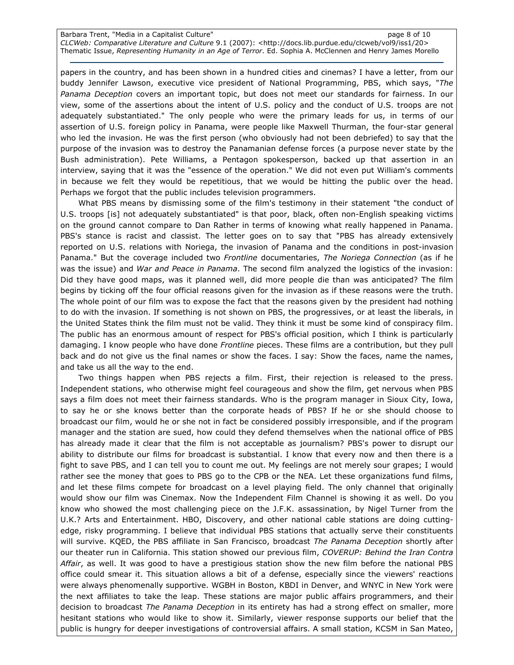Barbara Trent, "Media in a Capitalist Culture" and page 8 of 10 CLCWeb: Comparative Literature and Culture 9.1 (2007): <http://docs.lib.purdue.edu/clcweb/vol9/iss1/20> Thematic Issue, Representing Humanity in an Age of Terror. Ed. Sophia A. McClennen and Henry James Morello

papers in the country, and has been shown in a hundred cities and cinemas? I have a letter, from our buddy Jennifer Lawson, executive vice president of National Programming, PBS, which says, "The Panama Deception covers an important topic, but does not meet our standards for fairness. In our view, some of the assertions about the intent of U.S. policy and the conduct of U.S. troops are not adequately substantiated." The only people who were the primary leads for us, in terms of our assertion of U.S. foreign policy in Panama, were people like Maxwell Thurman, the four-star general who led the invasion. He was the first person (who obviously had not been debriefed) to say that the purpose of the invasion was to destroy the Panamanian defense forces (a purpose never state by the Bush administration). Pete Williams, a Pentagon spokesperson, backed up that assertion in an interview, saying that it was the "essence of the operation." We did not even put William's comments in because we felt they would be repetitious, that we would be hitting the public over the head. Perhaps we forgot that the public includes television programmers.

 What PBS means by dismissing some of the film's testimony in their statement "the conduct of U.S. troops [is] not adequately substantiated" is that poor, black, often non-English speaking victims on the ground cannot compare to Dan Rather in terms of knowing what really happened in Panama. PBS's stance is racist and classist. The letter goes on to say that "PBS has already extensively reported on U.S. relations with Noriega, the invasion of Panama and the conditions in post-invasion Panama." But the coverage included two Frontline documentaries, The Noriega Connection (as if he was the issue) and War and Peace in Panama. The second film analyzed the logistics of the invasion: Did they have good maps, was it planned well, did more people die than was anticipated? The film begins by ticking off the four official reasons given for the invasion as if these reasons were the truth. The whole point of our film was to expose the fact that the reasons given by the president had nothing to do with the invasion. If something is not shown on PBS, the progressives, or at least the liberals, in the United States think the film must not be valid. They think it must be some kind of conspiracy film. The public has an enormous amount of respect for PBS's official position, which I think is particularly damaging. I know people who have done Frontline pieces. These films are a contribution, but they pull back and do not give us the final names or show the faces. I say: Show the faces, name the names, and take us all the way to the end.

 Two things happen when PBS rejects a film. First, their rejection is released to the press. Independent stations, who otherwise might feel courageous and show the film, get nervous when PBS says a film does not meet their fairness standards. Who is the program manager in Sioux City, Iowa, to say he or she knows better than the corporate heads of PBS? If he or she should choose to broadcast our film, would he or she not in fact be considered possibly irresponsible, and if the program manager and the station are sued, how could they defend themselves when the national office of PBS has already made it clear that the film is not acceptable as journalism? PBS's power to disrupt our ability to distribute our films for broadcast is substantial. I know that every now and then there is a fight to save PBS, and I can tell you to count me out. My feelings are not merely sour grapes; I would rather see the money that goes to PBS go to the CPB or the NEA. Let these organizations fund films, and let these films compete for broadcast on a level playing field. The only channel that originally would show our film was Cinemax. Now the Independent Film Channel is showing it as well. Do you know who showed the most challenging piece on the J.F.K. assassination, by Nigel Turner from the U.K.? Arts and Entertainment. HBO, Discovery, and other national cable stations are doing cuttingedge, risky programming. I believe that individual PBS stations that actually serve their constituents will survive. KQED, the PBS affiliate in San Francisco, broadcast The Panama Deception shortly after our theater run in California. This station showed our previous film, COVERUP: Behind the Iran Contra Affair, as well. It was good to have a prestigious station show the new film before the national PBS office could smear it. This situation allows a bit of a defense, especially since the viewers' reactions were always phenomenally supportive. WGBH in Boston, KBDI in Denver, and WNYC in New York were the next affiliates to take the leap. These stations are major public affairs programmers, and their decision to broadcast The Panama Deception in its entirety has had a strong effect on smaller, more hesitant stations who would like to show it. Similarly, viewer response supports our belief that the public is hungry for deeper investigations of controversial affairs. A small station, KCSM in San Mateo,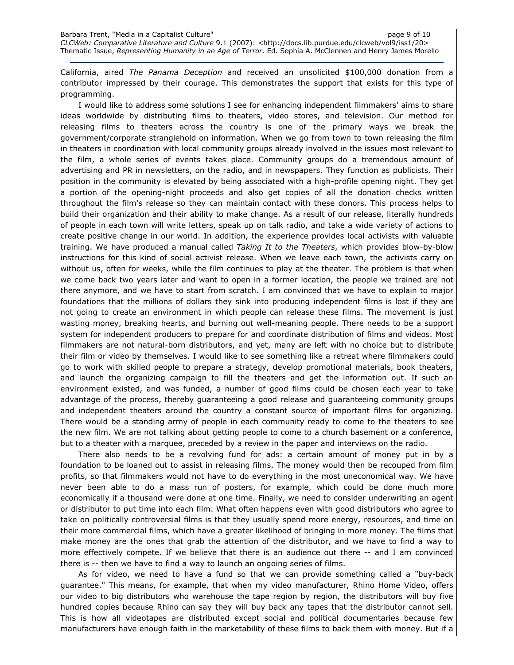California, aired The Panama Deception and received an unsolicited \$100,000 donation from a contributor impressed by their courage. This demonstrates the support that exists for this type of programming.

 I would like to address some solutions I see for enhancing independent filmmakers' aims to share ideas worldwide by distributing films to theaters, video stores, and television. Our method for releasing films to theaters across the country is one of the primary ways we break the government/corporate stranglehold on information. When we go from town to town releasing the film in theaters in coordination with local community groups already involved in the issues most relevant to the film, a whole series of events takes place. Community groups do a tremendous amount of advertising and PR in newsletters, on the radio, and in newspapers. They function as publicists. Their position in the community is elevated by being associated with a high-profile opening night. They get a portion of the opening-night proceeds and also get copies of all the donation checks written throughout the film's release so they can maintain contact with these donors. This process helps to build their organization and their ability to make change. As a result of our release, literally hundreds of people in each town will write letters, speak up on talk radio, and take a wide variety of actions to create positive change in our world. In addition, the experience provides local activists with valuable training. We have produced a manual called Taking It to the Theaters, which provides blow-by-blow instructions for this kind of social activist release. When we leave each town, the activists carry on without us, often for weeks, while the film continues to play at the theater. The problem is that when we come back two years later and want to open in a former location, the people we trained are not there anymore, and we have to start from scratch. I am convinced that we have to explain to major foundations that the millions of dollars they sink into producing independent films is lost if they are not going to create an environment in which people can release these films. The movement is just wasting money, breaking hearts, and burning out well-meaning people. There needs to be a support system for independent producers to prepare for and coordinate distribution of films and videos. Most filmmakers are not natural-born distributors, and yet, many are left with no choice but to distribute their film or video by themselves. I would like to see something like a retreat where filmmakers could go to work with skilled people to prepare a strategy, develop promotional materials, book theaters, and launch the organizing campaign to fill the theaters and get the information out. If such an environment existed, and was funded, a number of good films could be chosen each year to take advantage of the process, thereby guaranteeing a good release and guaranteeing community groups and independent theaters around the country a constant source of important films for organizing. There would be a standing army of people in each community ready to come to the theaters to see the new film. We are not talking about getting people to come to a church basement or a conference, but to a theater with a marquee, preceded by a review in the paper and interviews on the radio.

 There also needs to be a revolving fund for ads: a certain amount of money put in by a foundation to be loaned out to assist in releasing films. The money would then be recouped from film profits, so that filmmakers would not have to do everything in the most uneconomical way. We have never been able to do a mass run of posters, for example, which could be done much more economically if a thousand were done at one time. Finally, we need to consider underwriting an agent or distributor to put time into each film. What often happens even with good distributors who agree to take on politically controversial films is that they usually spend more energy, resources, and time on their more commercial films, which have a greater likelihood of bringing in more money. The films that make money are the ones that grab the attention of the distributor, and we have to find a way to more effectively compete. If we believe that there is an audience out there -- and I am convinced there is -- then we have to find a way to launch an ongoing series of films.

 As for video, we need to have a fund so that we can provide something called a "buy-back guarantee." This means, for example, that when my video manufacturer, Rhino Home Video, offers our video to big distributors who warehouse the tape region by region, the distributors will buy five hundred copies because Rhino can say they will buy back any tapes that the distributor cannot sell. This is how all videotapes are distributed except social and political documentaries because few manufacturers have enough faith in the marketability of these films to back them with money. But if a